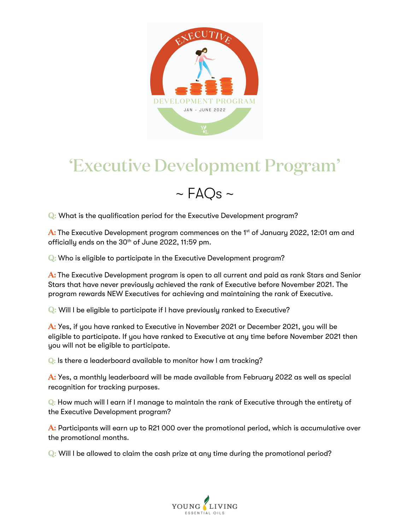

## 'Executive Development Program'



Q: What is the qualification period for the Executive Development program?

A: The Executive Development program commences on the 1<sup>st</sup> of January 2022, 12:01 am and officially ends on the 30<sup>th</sup> of June 2022, 11:59 pm.

Q: Who is eligible to participate in the Executive Development program?

A: The Executive Development program is open to all current and paid as rank Stars and Senior Stars that have never previously achieved the rank of Executive before November 2021. The program rewards NEW Executives for achieving and maintaining the rank of Executive.

Q: Will I be eligible to participate if I have previously ranked to Executive?

A: Yes, if you have ranked to Executive in November 2021 or December 2021, you will be eligible to participate. If you have ranked to Executive at any time before November 2021 then you will not be eligible to participate.

Q: Is there a leaderboard available to monitor how I am tracking?

A: Yes, a monthly leaderboard will be made available from February 2022 as well as special recognition for tracking purposes.

Q: How much will I earn if I manage to maintain the rank of Executive through the entirety of the Executive Development program?

A: Participants will earn up to R21 000 over the promotional period, which is accumulative over the promotional months.

Q: Will I be allowed to claim the cash prize at any time during the promotional period?